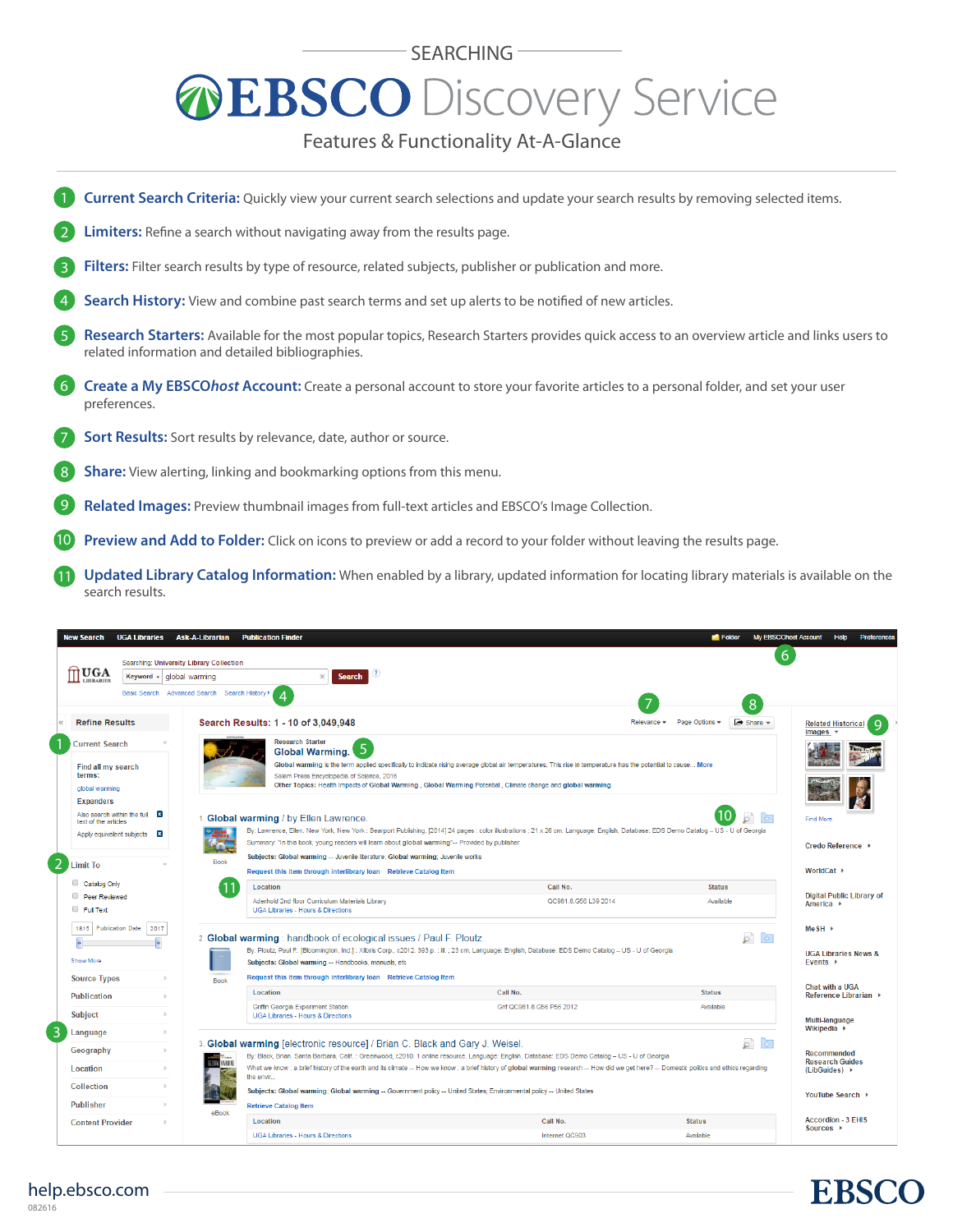### SEARCHING

## *OEBSCO Discovery Service*

Features & Functionality At-A-Glance



|                                                        | Searching: University Library Collection        |                                                                                                                                                                                                                                  |                                                                                                                                                                                           |                                            | 6                                         |  |  |  |
|--------------------------------------------------------|-------------------------------------------------|----------------------------------------------------------------------------------------------------------------------------------------------------------------------------------------------------------------------------------|-------------------------------------------------------------------------------------------------------------------------------------------------------------------------------------------|--------------------------------------------|-------------------------------------------|--|--|--|
| <b>UGA</b><br>Ш                                        | Keyword $\overline{\phantom{a}}$ alobal warming | <b>Search</b>                                                                                                                                                                                                                    |                                                                                                                                                                                           |                                            |                                           |  |  |  |
|                                                        | Basic Search Advanced Search Search History >   | $\boldsymbol{\Delta}$                                                                                                                                                                                                            |                                                                                                                                                                                           | 8                                          |                                           |  |  |  |
|                                                        |                                                 |                                                                                                                                                                                                                                  |                                                                                                                                                                                           |                                            |                                           |  |  |  |
| <b>Refine Results</b>                                  |                                                 | Search Results: 1 - 10 of 3,049,948                                                                                                                                                                                              | $\Rightarrow$ Share $\approx$<br>Relevance =<br>Page Options -                                                                                                                            | <b>Related Historical</b><br><b>Images</b> |                                           |  |  |  |
| <b>Current Search</b>                                  |                                                 | <b>Research Starter</b><br>5<br><b>Global Warming.</b>                                                                                                                                                                           |                                                                                                                                                                                           |                                            |                                           |  |  |  |
| Find all my search                                     |                                                 |                                                                                                                                                                                                                                  | Global warming is the term applied specifically to indicate rising average global air temperatures. This rise in temperature has the potential to cause More                              |                                            |                                           |  |  |  |
| terms:                                                 |                                                 | Salem Press Encyclopedia of Science, 2016                                                                                                                                                                                        |                                                                                                                                                                                           |                                            |                                           |  |  |  |
| global warming                                         |                                                 |                                                                                                                                                                                                                                  | Other Topics: Health Impacts of Global Warming., Global Warming Potential., Climate change and global warming.                                                                            |                                            |                                           |  |  |  |
| <b>Expanders</b><br>Also search within the full $\Box$ |                                                 |                                                                                                                                                                                                                                  |                                                                                                                                                                                           |                                            |                                           |  |  |  |
| text of the articles                                   |                                                 | 1. Global warming / by Ellen Lawrence.                                                                                                                                                                                           | By: Lawrence, Ellen. New York, New York : Bearport Publishing, [2014] 24 pages : color illustrations ; 21 x 26 cm. Language: English, Database: EDS Demo Catalog - US - U of Georgia      |                                            | Find More                                 |  |  |  |
| Apply equivalent subjects <b>X</b>                     |                                                 | Summary: "In this book, young readers will learn about global warming"-- Provided by publisher.                                                                                                                                  |                                                                                                                                                                                           |                                            | Credo Reference                           |  |  |  |
| <b>Limit To</b>                                        | <b>Book</b>                                     | Subjects: Global warming -- Juvenile literature; Global warming; Juvenile works                                                                                                                                                  |                                                                                                                                                                                           |                                            |                                           |  |  |  |
|                                                        |                                                 | Request this item through interlibrary loan Retrieve Catalog Item                                                                                                                                                                | WorldCat +                                                                                                                                                                                |                                            |                                           |  |  |  |
| Catalog Only<br>Peer Reviewed                          |                                                 | Location                                                                                                                                                                                                                         | Call No.                                                                                                                                                                                  | <b>Status</b>                              | <b>Digital Public Library of</b>          |  |  |  |
| <b>Full Text</b>                                       |                                                 | Aderhold 2nd floor Curriculum Materials Library<br><b>UGA Libraries - Hours &amp; Directions</b>                                                                                                                                 | QC981.8.G56 L39 2014                                                                                                                                                                      | Available                                  | America ▶                                 |  |  |  |
| Publication Date 2017<br>1815                          |                                                 |                                                                                                                                                                                                                                  |                                                                                                                                                                                           |                                            | MeSH                                      |  |  |  |
|                                                        |                                                 | 2. Global warming: handbook of ecological issues / Paul F. Ploutz.                                                                                                                                                               |                                                                                                                                                                                           | $\sqrt{2}$                                 |                                           |  |  |  |
| <b>Show More</b>                                       |                                                 | By: Ploutz, Paul F., [Bloomington, Ind.] : Xilbris Corp., c2012. 393 p. : ill. ; 23 cm. Language: English, Database: EDS Demo Catalog - US - U of Georgia<br>Subiects: Global warming -- Handbooks, manuals, etc.                |                                                                                                                                                                                           |                                            |                                           |  |  |  |
| <b>Source Types</b><br>$\rightarrow$                   |                                                 | Request this item through interlibrary loan Retrieve Catalog Item                                                                                                                                                                |                                                                                                                                                                                           |                                            | Events $\rightarrow$                      |  |  |  |
| <b>Publication</b>                                     | <b>Book</b>                                     | Location                                                                                                                                                                                                                         | Call No.                                                                                                                                                                                  | <b>Status</b>                              | Chat with a UGA<br>Reference Librarian    |  |  |  |
|                                                        |                                                 | Griffin Georgia Experiment Station                                                                                                                                                                                               | Grif QC981.8.G56 P56 2012<br>Available                                                                                                                                                    |                                            |                                           |  |  |  |
| <b>Subject</b><br>$\rightarrow$                        |                                                 | <b>UGA Libraries - Hours &amp; Directions</b>                                                                                                                                                                                    |                                                                                                                                                                                           |                                            | Multi-language<br>Wikipedia $\rightarrow$ |  |  |  |
| Language                                               |                                                 |                                                                                                                                                                                                                                  |                                                                                                                                                                                           | $\overline{\mathbf{C}}$<br>ि               |                                           |  |  |  |
| Geography                                              |                                                 | 3. Global warming [electronic resource] / Brian C. Black and Gary J. Weisel.<br>By: Black, Brian. Santa Barbara, Calif. : Greenwood, c2010. 1 online resource. Language: English, Database: EDS Demo Catalog - US - U of Georgia |                                                                                                                                                                                           |                                            |                                           |  |  |  |
| Location<br>$\rightarrow$                              | <b>IRE AVANIC</b>                               | the envir                                                                                                                                                                                                                        | What we know : a brief history of the earth and its climate -- How we know : a brief history of global warming research -- How did we get here? -- Domestic politics and ethics regarding |                                            | <b>Research Guides</b><br>(LibGuides) ▶   |  |  |  |
| <b>Collection</b><br>$\rightarrow$                     |                                                 |                                                                                                                                                                                                                                  | Subjects: Global warming: Global warming -- Government policy -- United States: Environmental policy -- United States                                                                     |                                            |                                           |  |  |  |
| <b>Publisher</b><br>$\rightarrow$                      |                                                 | <b>Retrieve Catalog Item</b>                                                                                                                                                                                                     |                                                                                                                                                                                           |                                            | YouTube Search +                          |  |  |  |
| <b>Content Provider</b><br>$\rightarrow$               | eBook                                           | Location                                                                                                                                                                                                                         | Call No.                                                                                                                                                                                  | <b>Status</b>                              | <b>Accordion - 3 EHIS</b>                 |  |  |  |
|                                                        |                                                 | <b>UGA Libraries - Hours &amp; Directions</b>                                                                                                                                                                                    | Internet OC903                                                                                                                                                                            | Available                                  | Sources ▶                                 |  |  |  |